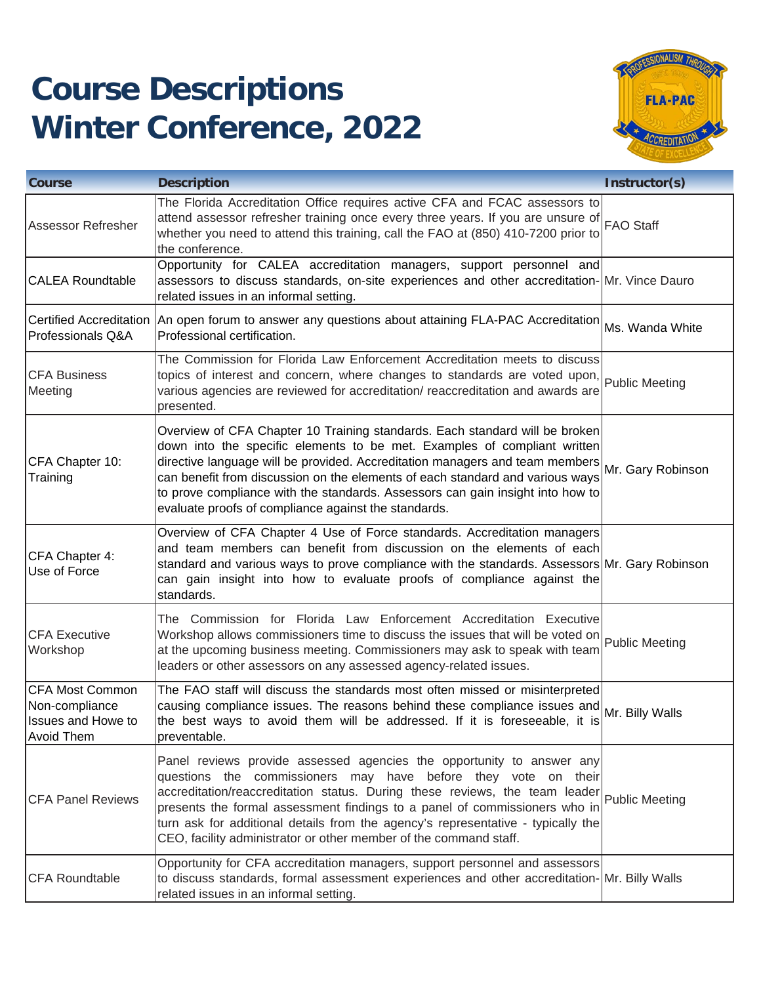## **Course Descriptions Winter Conference, 2022**



| <b>Course</b>                                                                       | <b>Description</b>                                                                                                                                                                                                                                                                                                                                                                                                                                                                 | Instructor(s)   |
|-------------------------------------------------------------------------------------|------------------------------------------------------------------------------------------------------------------------------------------------------------------------------------------------------------------------------------------------------------------------------------------------------------------------------------------------------------------------------------------------------------------------------------------------------------------------------------|-----------------|
| <b>Assessor Refresher</b>                                                           | The Florida Accreditation Office requires active CFA and FCAC assessors to<br>attend assessor refresher training once every three years. If you are unsure of FAO Staff<br>whether you need to attend this training, call the FAO at (850) 410-7200 prior to<br>the conference.                                                                                                                                                                                                    |                 |
| <b>CALEA Roundtable</b>                                                             | Opportunity for CALEA accreditation managers, support personnel and<br>assessors to discuss standards, on-site experiences and other accreditation-Mr. Vince Dauro<br>related issues in an informal setting.                                                                                                                                                                                                                                                                       |                 |
| Professionals Q&A                                                                   | Certified Accreditation   An open forum to answer any questions about attaining FLA-PAC Accreditation<br>Professional certification.                                                                                                                                                                                                                                                                                                                                               | Ms. Wanda White |
| <b>CFA Business</b><br>Meeting                                                      | The Commission for Florida Law Enforcement Accreditation meets to discuss<br>topics of interest and concern, where changes to standards are voted upon,<br>various agencies are reviewed for accreditation/ reaccreditation and awards are<br>presented.                                                                                                                                                                                                                           | Public Meeting  |
| CFA Chapter 10:<br>Training                                                         | Overview of CFA Chapter 10 Training standards. Each standard will be broken<br>down into the specific elements to be met. Examples of compliant written<br>down this this episonic state of a decreditation managers and team members Mr. Gary Robinson<br>can benefit from discussion on the elements of each standard and various ways<br>to prove compliance with the standards. Assessors can gain insight into how to<br>evaluate proofs of compliance against the standards. |                 |
| CFA Chapter 4:<br>Use of Force                                                      | Overview of CFA Chapter 4 Use of Force standards. Accreditation managers<br>and team members can benefit from discussion on the elements of each<br>standard and various ways to prove compliance with the standards. Assessors Mr. Gary Robinson<br>can gain insight into how to evaluate proofs of compliance against the<br>standards.                                                                                                                                          |                 |
| <b>CFA Executive</b><br>Workshop                                                    | The Commission for Florida Law Enforcement Accreditation Executive<br>Workshop allows commissioners time to discuss the issues that will be voted on Public Meeting<br>at the upcoming business meeting. Commissioners may ask to speak with team<br>leaders or other assessors on any assessed agency-related issues.                                                                                                                                                             |                 |
| CFA Most Common<br>Non-compliance<br><b>Issues and Howe to</b><br><b>Avoid Them</b> | The FAO staff will discuss the standards most often missed or misinterpreted<br>causing compliance issues. The reasons behind these compliance issues and Mr. Billy Walls<br>the best ways to avoid them will be addressed. If it is foreseeable, it is<br>preventable.                                                                                                                                                                                                            |                 |
| <b>CFA Panel Reviews</b>                                                            | Panel reviews provide assessed agencies the opportunity to answer any<br>questions the commissioners may have before they vote on their<br>accreditation/reaccreditation status. During these reviews, the team leader Public Meeting<br>presents the formal assessment findings to a panel of commissioners who in<br>turn ask for additional details from the agency's representative - typically the<br>CEO, facility administrator or other member of the command staff.       |                 |
| <b>CFA Roundtable</b>                                                               | Opportunity for CFA accreditation managers, support personnel and assessors<br>to discuss standards, formal assessment experiences and other accreditation-Mr. Billy Walls<br>related issues in an informal setting.                                                                                                                                                                                                                                                               |                 |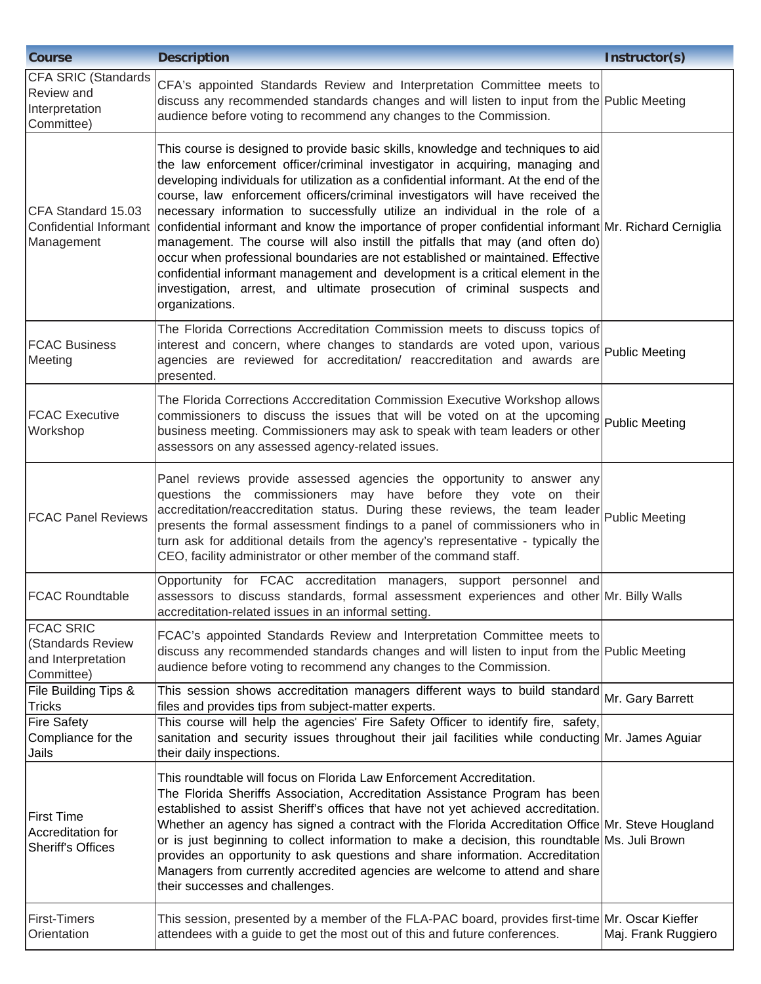| <b>Course</b>                                                                   | <b>Description</b>                                                                                                                                                                                                                                                                                                                                                                                                                                                                                                                                                                                                                                                                                                                                                                                                                                                                       | Instructor(s)       |
|---------------------------------------------------------------------------------|------------------------------------------------------------------------------------------------------------------------------------------------------------------------------------------------------------------------------------------------------------------------------------------------------------------------------------------------------------------------------------------------------------------------------------------------------------------------------------------------------------------------------------------------------------------------------------------------------------------------------------------------------------------------------------------------------------------------------------------------------------------------------------------------------------------------------------------------------------------------------------------|---------------------|
| CFA SRIC (Standards<br><b>Review</b> and<br>Interpretation<br>Committee)        | CFA's appointed Standards Review and Interpretation Committee meets to<br>discuss any recommended standards changes and will listen to input from the Public Meeting<br>audience before voting to recommend any changes to the Commission.                                                                                                                                                                                                                                                                                                                                                                                                                                                                                                                                                                                                                                               |                     |
| CFA Standard 15.03<br>Confidential Informant<br>Management                      | This course is designed to provide basic skills, knowledge and techniques to aid<br>the law enforcement officer/criminal investigator in acquiring, managing and<br>developing individuals for utilization as a confidential informant. At the end of the<br>course, law enforcement officers/criminal investigators will have received the<br>necessary information to successfully utilize an individual in the role of a<br>confidential informant and know the importance of proper confidential informant Mr. Richard Cerniglia<br>management. The course will also instill the pitfalls that may (and often do)<br>occur when professional boundaries are not established or maintained. Effective<br>confidential informant management and development is a critical element in the<br>investigation, arrest, and ultimate prosecution of criminal suspects and<br>organizations. |                     |
| <b>FCAC Business</b><br>Meeting                                                 | The Florida Corrections Accreditation Commission meets to discuss topics of<br>interest and concern, where changes to standards are voted upon, various Public Meeting<br>agencies are reviewed for accreditation/ reaccreditation and awards are<br>presented.                                                                                                                                                                                                                                                                                                                                                                                                                                                                                                                                                                                                                          |                     |
| <b>FCAC</b> Executive<br>Workshop                                               | The Florida Corrections Acccreditation Commission Executive Workshop allows<br>commissioners to discuss the issues that will be voted on at the upcoming Public Meeting<br>business meeting. Commissioners may ask to speak with team leaders or other<br>assessors on any assessed agency-related issues.                                                                                                                                                                                                                                                                                                                                                                                                                                                                                                                                                                               |                     |
| <b>FCAC Panel Reviews</b>                                                       | Panel reviews provide assessed agencies the opportunity to answer any<br>questions the commissioners may have before they vote on their<br>accreditation/reaccreditation status. During these reviews, the team leader Public Meeting<br>presents the formal assessment findings to a panel of commissioners who in<br>turn ask for additional details from the agency's representative - typically the<br>CEO, facility administrator or other member of the command staff.                                                                                                                                                                                                                                                                                                                                                                                                             |                     |
| <b>FCAC Roundtable</b>                                                          | Opportunity for FCAC accreditation managers, support personnel and<br>assessors to discuss standards, formal assessment experiences and other Mr. Billy Walls<br>accreditation-related issues in an informal setting.                                                                                                                                                                                                                                                                                                                                                                                                                                                                                                                                                                                                                                                                    |                     |
| <b>FCAC SRIC</b><br><b>Standards Review</b><br>and Interpretation<br>Committee) | FCAC's appointed Standards Review and Interpretation Committee meets to<br>discuss any recommended standards changes and will listen to input from the Public Meeting<br>audience before voting to recommend any changes to the Commission.                                                                                                                                                                                                                                                                                                                                                                                                                                                                                                                                                                                                                                              |                     |
| <b>File Building Tips &amp;</b><br><b>Tricks</b>                                | This session shows accreditation managers different ways to build standard<br>files and provides tips from subject-matter experts.                                                                                                                                                                                                                                                                                                                                                                                                                                                                                                                                                                                                                                                                                                                                                       | Mr. Gary Barrett    |
| <b>Fire Safety</b><br>Compliance for the<br>Jails                               | This course will help the agencies' Fire Safety Officer to identify fire, safety,<br>sanitation and security issues throughout their jail facilities while conducting Mr. James Aguiar<br>their daily inspections.                                                                                                                                                                                                                                                                                                                                                                                                                                                                                                                                                                                                                                                                       |                     |
| First Time<br>Accreditation for<br><b>Sheriff's Offices</b>                     | This roundtable will focus on Florida Law Enforcement Accreditation.<br>The Florida Sheriffs Association, Accreditation Assistance Program has been<br>established to assist Sheriff's offices that have not yet achieved accreditation.<br>Whether an agency has signed a contract with the Florida Accreditation Office Mr. Steve Hougland<br>or is just beginning to collect information to make a decision, this roundtable Ms. Juli Brown<br>provides an opportunity to ask questions and share information. Accreditation<br>Managers from currently accredited agencies are welcome to attend and share<br>their successes and challenges.                                                                                                                                                                                                                                        |                     |
| <b>First-Timers</b><br>Orientation                                              | This session, presented by a member of the FLA-PAC board, provides first-time Mr. Oscar Kieffer<br>attendees with a guide to get the most out of this and future conferences.                                                                                                                                                                                                                                                                                                                                                                                                                                                                                                                                                                                                                                                                                                            | Maj. Frank Ruggiero |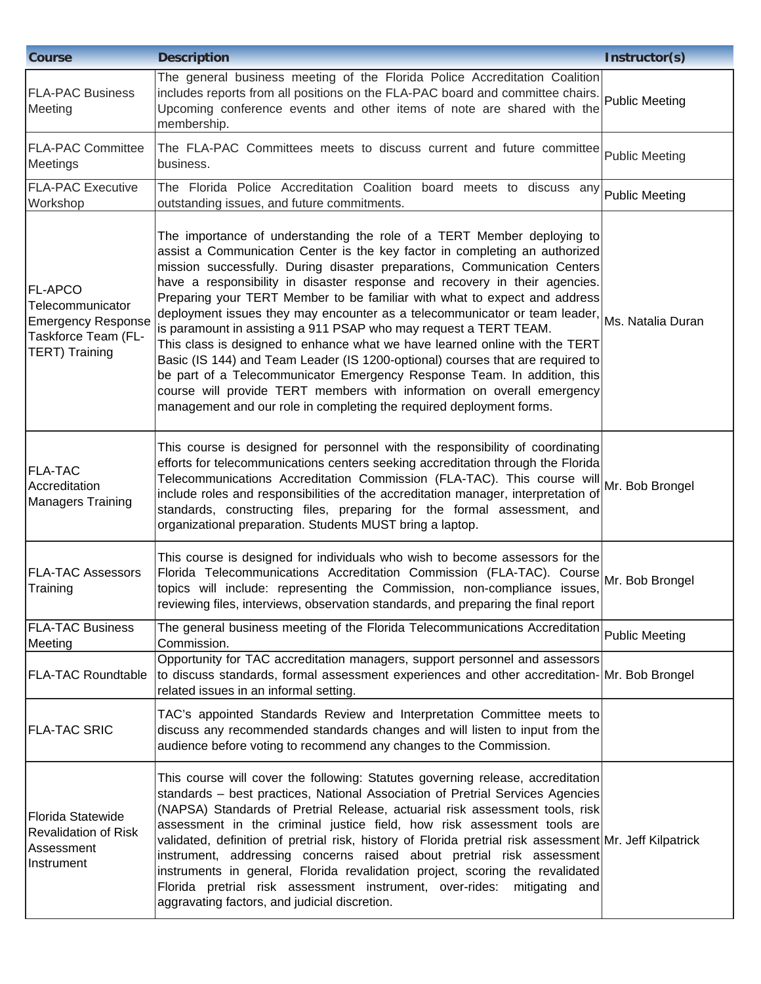| <b>Course</b>                                                                                                   | <b>Description</b>                                                                                                                                                                                                                                                                                                                                                                                                                                                                                                                                                                                                                                                                                                                                                                                                                                                                                                                                                | Instructor(s)         |
|-----------------------------------------------------------------------------------------------------------------|-------------------------------------------------------------------------------------------------------------------------------------------------------------------------------------------------------------------------------------------------------------------------------------------------------------------------------------------------------------------------------------------------------------------------------------------------------------------------------------------------------------------------------------------------------------------------------------------------------------------------------------------------------------------------------------------------------------------------------------------------------------------------------------------------------------------------------------------------------------------------------------------------------------------------------------------------------------------|-----------------------|
| <b>FLA-PAC Business</b><br>Meeting                                                                              | The general business meeting of the Florida Police Accreditation Coalition<br>includes reports from all positions on the FLA-PAC board and committee chairs.<br>Upcoming conference events and other items of note are shared with the<br>membership.                                                                                                                                                                                                                                                                                                                                                                                                                                                                                                                                                                                                                                                                                                             | <b>Public Meeting</b> |
| <b>FLA-PAC Committee</b><br>Meetings                                                                            | The FLA-PAC Committees meets to discuss current and future committee Public Meeting<br>business.                                                                                                                                                                                                                                                                                                                                                                                                                                                                                                                                                                                                                                                                                                                                                                                                                                                                  |                       |
| <b>FLA-PAC Executive</b><br>Workshop                                                                            | The Florida Police Accreditation Coalition board meets to discuss any Public Meeting<br>outstanding issues, and future commitments.                                                                                                                                                                                                                                                                                                                                                                                                                                                                                                                                                                                                                                                                                                                                                                                                                               |                       |
| <b>FL-APCO</b><br>Telecommunicator<br><b>Emergency Response</b><br>Taskforce Team (FL-<br><b>TERT) Training</b> | The importance of understanding the role of a TERT Member deploying to<br>assist a Communication Center is the key factor in completing an authorized<br>mission successfully. During disaster preparations, Communication Centers<br>have a responsibility in disaster response and recovery in their agencies.<br>Preparing your TERT Member to be familiar with what to expect and address<br>deployment issues they may encounter as a telecommunicator or team leader, Ms. Natalia Duran<br>is paramount in assisting a 911 PSAP who may request a TERT TEAM.<br>This class is designed to enhance what we have learned online with the TERT<br>Basic (IS 144) and Team Leader (IS 1200-optional) courses that are required to<br>be part of a Telecommunicator Emergency Response Team. In addition, this<br>course will provide TERT members with information on overall emergency<br>management and our role in completing the required deployment forms. |                       |
| <b>FLA-TAC</b><br>Accreditation<br><b>Managers Training</b>                                                     | This course is designed for personnel with the responsibility of coordinating<br>efforts for telecommunications centers seeking accreditation through the Florida<br>Telecommunications Accreditation Commission (FLA-TAC). This course will<br>include roles and responsibilities of the accreditation manager, interpretation of<br>standards, constructing files, preparing for the formal assessment, and<br>organizational preparation. Students MUST bring a laptop.                                                                                                                                                                                                                                                                                                                                                                                                                                                                                        | Mr. Bob Brongel       |
| <b>FLA-TAC Assessors</b><br>Training                                                                            | This course is designed for individuals who wish to become assessors for the<br>Florida Telecommunications Accreditation Commission (FLA-TAC). Course Mr. Bob Brongel<br>topics will include: representing the Commission, non-compliance issues,<br>reviewing files, interviews, observation standards, and preparing the final report                                                                                                                                                                                                                                                                                                                                                                                                                                                                                                                                                                                                                           |                       |
| <b>FLA-TAC Business</b><br>Meeting                                                                              | The general business meeting of the Florida Telecommunications Accreditation Public Meeting<br>Commission.                                                                                                                                                                                                                                                                                                                                                                                                                                                                                                                                                                                                                                                                                                                                                                                                                                                        |                       |
| <b>FLA-TAC Roundtable</b>                                                                                       | Opportunity for TAC accreditation managers, support personnel and assessors<br>to discuss standards, formal assessment experiences and other accreditation-Mr. Bob Brongel<br>related issues in an informal setting.                                                                                                                                                                                                                                                                                                                                                                                                                                                                                                                                                                                                                                                                                                                                              |                       |
| <b>FLA-TAC SRIC</b>                                                                                             | TAC's appointed Standards Review and Interpretation Committee meets to<br>discuss any recommended standards changes and will listen to input from the<br>audience before voting to recommend any changes to the Commission.                                                                                                                                                                                                                                                                                                                                                                                                                                                                                                                                                                                                                                                                                                                                       |                       |
| Florida Statewide<br><b>Revalidation of Risk</b><br>Assessment<br>Instrument                                    | This course will cover the following: Statutes governing release, accreditation<br>standards - best practices, National Association of Pretrial Services Agencies<br>(NAPSA) Standards of Pretrial Release, actuarial risk assessment tools, risk<br>assessment in the criminal justice field, how risk assessment tools are<br>validated, definition of pretrial risk, history of Florida pretrial risk assessment Mr. Jeff Kilpatrick<br>instrument, addressing concerns raised about pretrial risk assessment<br>instruments in general, Florida revalidation project, scoring the revalidated<br>Florida pretrial risk assessment instrument, over-rides:<br>mitigating and<br>aggravating factors, and judicial discretion.                                                                                                                                                                                                                                  |                       |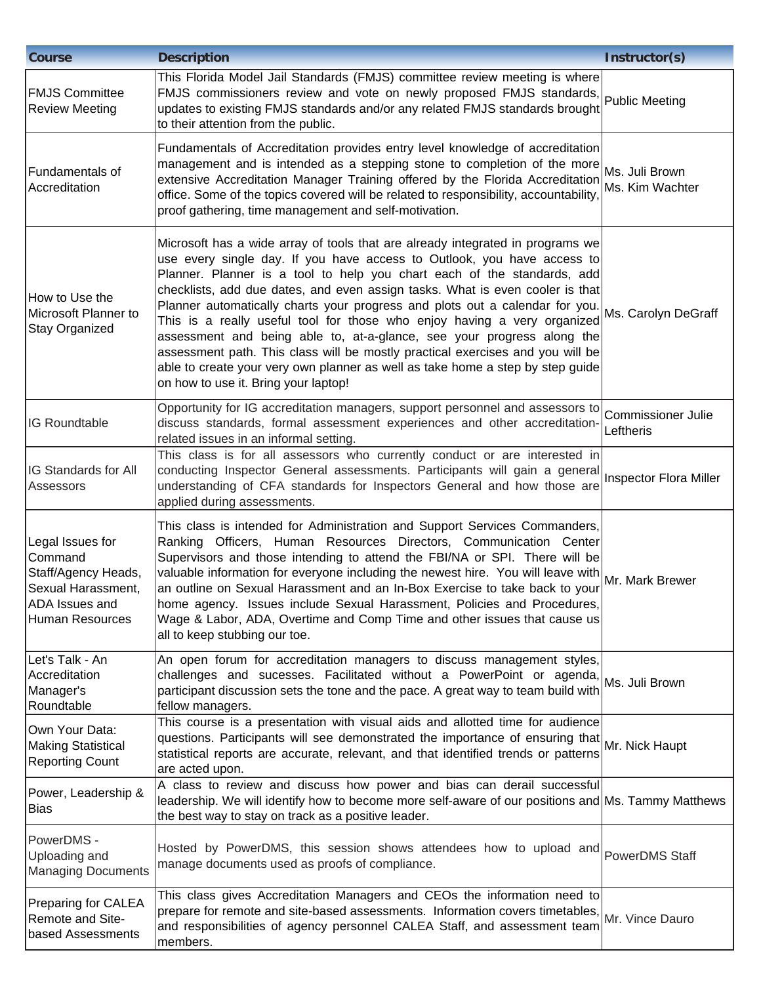| <b>Course</b>                                                                                                        | <b>Description</b>                                                                                                                                                                                                                                                                                                                                                                                                                                                                                                                                                                                                                                                                                                                                                      | Instructor(s)                          |
|----------------------------------------------------------------------------------------------------------------------|-------------------------------------------------------------------------------------------------------------------------------------------------------------------------------------------------------------------------------------------------------------------------------------------------------------------------------------------------------------------------------------------------------------------------------------------------------------------------------------------------------------------------------------------------------------------------------------------------------------------------------------------------------------------------------------------------------------------------------------------------------------------------|----------------------------------------|
| <b>FMJS Committee</b><br><b>Review Meeting</b>                                                                       | This Florida Model Jail Standards (FMJS) committee review meeting is where<br>FMJS commissioners review and vote on newly proposed FMJS standards,<br>updates to existing FMJS standards and/or any related FMJS standards brought<br>to their attention from the public.                                                                                                                                                                                                                                                                                                                                                                                                                                                                                               | Public Meeting                         |
| Fundamentals of<br><b>Accreditation</b>                                                                              | Fundamentals of Accreditation provides entry level knowledge of accreditation<br>management and is intended as a stepping stone to completion of the more Ms. Juli Brown<br>extensive Accreditation Manager Training offered by the Florida Accreditation<br>office. Some of the topics covered will be related to responsibility, accountability,<br>proof gathering, time management and self-motivation.                                                                                                                                                                                                                                                                                                                                                             | Ms. Kim Wachter                        |
| How to Use the<br>Microsoft Planner to<br>Stay Organized                                                             | Microsoft has a wide array of tools that are already integrated in programs we<br>use every single day. If you have access to Outlook, you have access to<br>Planner. Planner is a tool to help you chart each of the standards, add<br>checklists, add due dates, and even assign tasks. What is even cooler is that<br>Planner automatically charts your progress and plots out a calendar for you.<br>This is a really useful tool for those who enjoy having a very organized<br>assessment and being able to, at-a-glance, see your progress along the<br>assessment path. This class will be mostly practical exercises and you will be<br>able to create your very own planner as well as take home a step by step guide<br>on how to use it. Bring your laptop! | Ms. Carolyn DeGraff                    |
| IG Roundtable                                                                                                        | Opportunity for IG accreditation managers, support personnel and assessors to<br>discuss standards, formal assessment experiences and other accreditation-<br>related issues in an informal setting.                                                                                                                                                                                                                                                                                                                                                                                                                                                                                                                                                                    | <b>Commissioner Julie</b><br>Leftheris |
| IG Standards for All<br>Assessors                                                                                    | This class is for all assessors who currently conduct or are interested in<br>conducting Inspector General assessments. Participants will gain a general<br>understanding of CFA standards for Inspectors General and how those are<br>applied during assessments.                                                                                                                                                                                                                                                                                                                                                                                                                                                                                                      | Inspector Flora Miller                 |
| Legal Issues for<br>Command<br>Staff/Agency Heads,<br>Sexual Harassment,<br><b>ADA</b> Issues and<br>Human Resources | This class is intended for Administration and Support Services Commanders,<br>Ranking Officers, Human Resources Directors, Communication Center<br>Supervisors and those intending to attend the FBI/NA or SPI. There will be<br>valuable information for everyone including the newest hire. You will leave with Mr. Mark Brewer<br>an outline on Sexual Harassment and an In-Box Exercise to take back to your<br>home agency. Issues include Sexual Harassment, Policies and Procedures,<br>Wage & Labor, ADA, Overtime and Comp Time and other issues that cause us<br>all to keep stubbing our toe.                                                                                                                                                                |                                        |
| Let's Talk - An<br>Accreditation<br>Manager's<br>Roundtable                                                          | An open forum for accreditation managers to discuss management styles,<br>challenges and sucesses. Facilitated without a PowerPoint or agenda, Ms. Juli Brown<br>participant discussion sets the tone and the pace. A great way to team build with<br>fellow managers.                                                                                                                                                                                                                                                                                                                                                                                                                                                                                                  |                                        |
| Own Your Data:<br><b>Making Statistical</b><br><b>Reporting Count</b>                                                | This course is a presentation with visual aids and allotted time for audience<br>questions. Participants will see demonstrated the importance of ensuring that Mr. Nick Haupt<br>statistical reports are accurate, relevant, and that identified trends or patterns<br>are acted upon.                                                                                                                                                                                                                                                                                                                                                                                                                                                                                  |                                        |
| Power, Leadership &<br><b>Bias</b>                                                                                   | A class to review and discuss how power and bias can derail successful<br>leadership. We will identify how to become more self-aware of our positions and Ms. Tammy Matthews<br>the best way to stay on track as a positive leader.                                                                                                                                                                                                                                                                                                                                                                                                                                                                                                                                     |                                        |
| PowerDMS -<br>Uploading and<br><b>Managing Documents</b>                                                             | Hosted by PowerDMS, this session shows attendees how to upload and PowerDMS Staff<br>manage documents used as proofs of compliance.                                                                                                                                                                                                                                                                                                                                                                                                                                                                                                                                                                                                                                     |                                        |
| Preparing for CALEA<br>Remote and Site-<br>based Assessments                                                         | This class gives Accreditation Managers and CEOs the information need to<br>prepare for remote and site-based assessments. Information covers timetables,<br>and responsibilities of agency personnel CALEA Staff, and assessment team<br>members.                                                                                                                                                                                                                                                                                                                                                                                                                                                                                                                      | Mr. Vince Dauro                        |